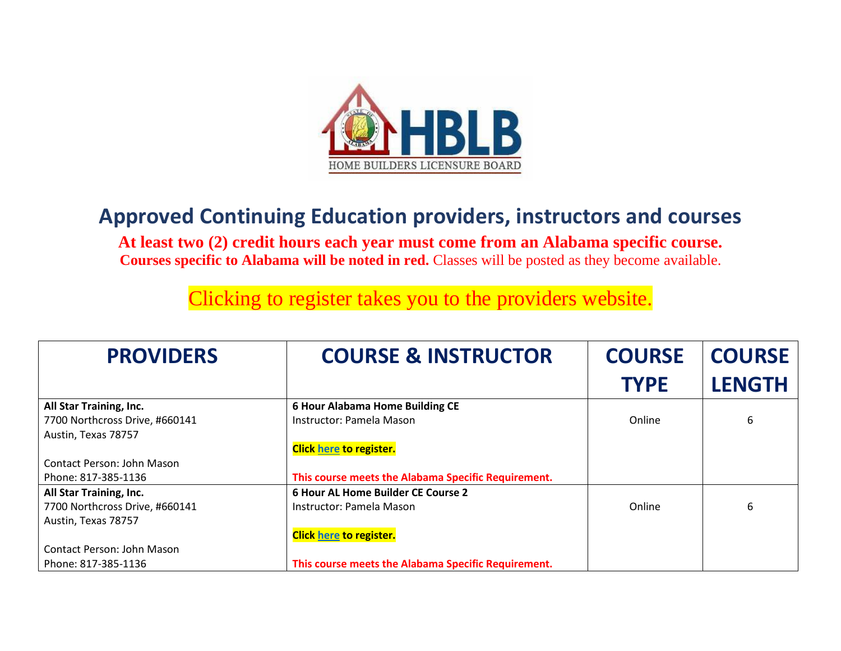

## **Approved Continuing Education providers, instructors and courses**

**At least two (2) credit hours each year must come from an Alabama specific course. Courses specific to Alabama will be noted in red.** Classes will be posted as they become available.

Clicking to register takes you to the providers website.

| <b>PROVIDERS</b>               | <b>COURSE &amp; INSTRUCTOR</b>                      | <b>COURSE</b> | <b>COURSE</b> |
|--------------------------------|-----------------------------------------------------|---------------|---------------|
|                                |                                                     | <b>TYPE</b>   | <b>LENGTH</b> |
| All Star Training, Inc.        | <b>6 Hour Alabama Home Building CE</b>              |               |               |
| 7700 Northcross Drive, #660141 | Instructor: Pamela Mason                            | Online        | 6             |
| Austin, Texas 78757            |                                                     |               |               |
|                                | <b>Click here to register.</b>                      |               |               |
| Contact Person: John Mason     |                                                     |               |               |
| Phone: 817-385-1136            | This course meets the Alabama Specific Requirement. |               |               |
| All Star Training, Inc.        | 6 Hour AL Home Builder CE Course 2                  |               |               |
| 7700 Northcross Drive, #660141 | Instructor: Pamela Mason                            | Online        | 6             |
| Austin, Texas 78757            |                                                     |               |               |
|                                | <b>Click here to register.</b>                      |               |               |
| Contact Person: John Mason     |                                                     |               |               |
| Phone: 817-385-1136            | This course meets the Alabama Specific Requirement. |               |               |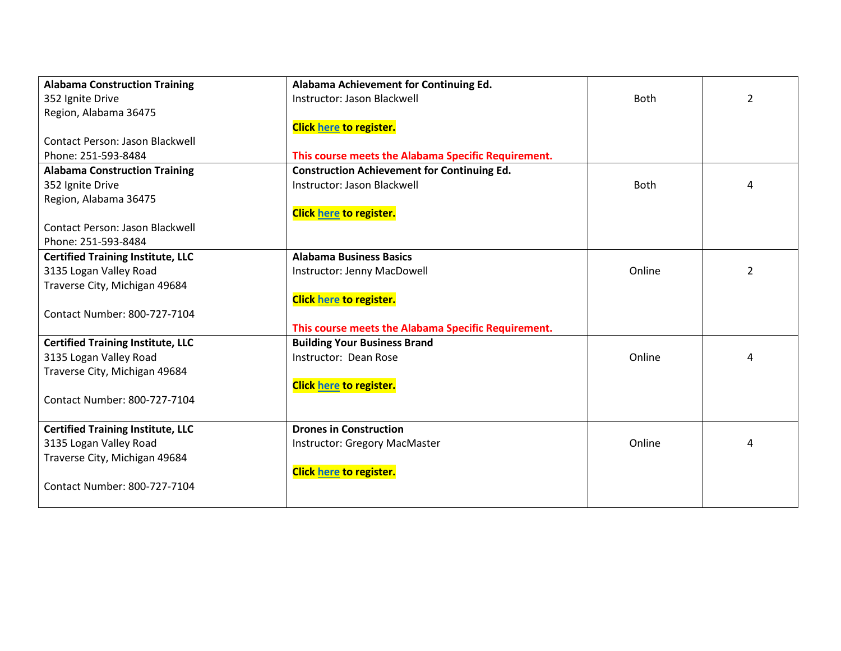| <b>Alabama Construction Training</b>     | Alabama Achievement for Continuing Ed.              |             |                |
|------------------------------------------|-----------------------------------------------------|-------------|----------------|
| 352 Ignite Drive                         | Instructor: Jason Blackwell                         | <b>Both</b> | $\overline{2}$ |
| Region, Alabama 36475                    |                                                     |             |                |
|                                          | <b>Click here to register.</b>                      |             |                |
| Contact Person: Jason Blackwell          |                                                     |             |                |
| Phone: 251-593-8484                      | This course meets the Alabama Specific Requirement. |             |                |
| <b>Alabama Construction Training</b>     | <b>Construction Achievement for Continuing Ed.</b>  |             |                |
| 352 Ignite Drive                         | Instructor: Jason Blackwell                         | <b>Both</b> | 4              |
| Region, Alabama 36475                    |                                                     |             |                |
|                                          | <b>Click here to register.</b>                      |             |                |
| <b>Contact Person: Jason Blackwell</b>   |                                                     |             |                |
| Phone: 251-593-8484                      |                                                     |             |                |
| <b>Certified Training Institute, LLC</b> | <b>Alabama Business Basics</b>                      |             |                |
| 3135 Logan Valley Road                   | Instructor: Jenny MacDowell                         | Online      | 2              |
| Traverse City, Michigan 49684            |                                                     |             |                |
|                                          | <b>Click here to register.</b>                      |             |                |
| Contact Number: 800-727-7104             |                                                     |             |                |
|                                          | This course meets the Alabama Specific Requirement. |             |                |
| <b>Certified Training Institute, LLC</b> | <b>Building Your Business Brand</b>                 |             |                |
| 3135 Logan Valley Road                   | Instructor: Dean Rose                               | Online      | 4              |
| Traverse City, Michigan 49684            |                                                     |             |                |
|                                          | <b>Click here to register.</b>                      |             |                |
| Contact Number: 800-727-7104             |                                                     |             |                |
|                                          |                                                     |             |                |
| <b>Certified Training Institute, LLC</b> | <b>Drones in Construction</b>                       |             |                |
| 3135 Logan Valley Road                   | <b>Instructor: Gregory MacMaster</b>                | Online      | 4              |
| Traverse City, Michigan 49684            |                                                     |             |                |
|                                          | <b>Click here to register.</b>                      |             |                |
| Contact Number: 800-727-7104             |                                                     |             |                |
|                                          |                                                     |             |                |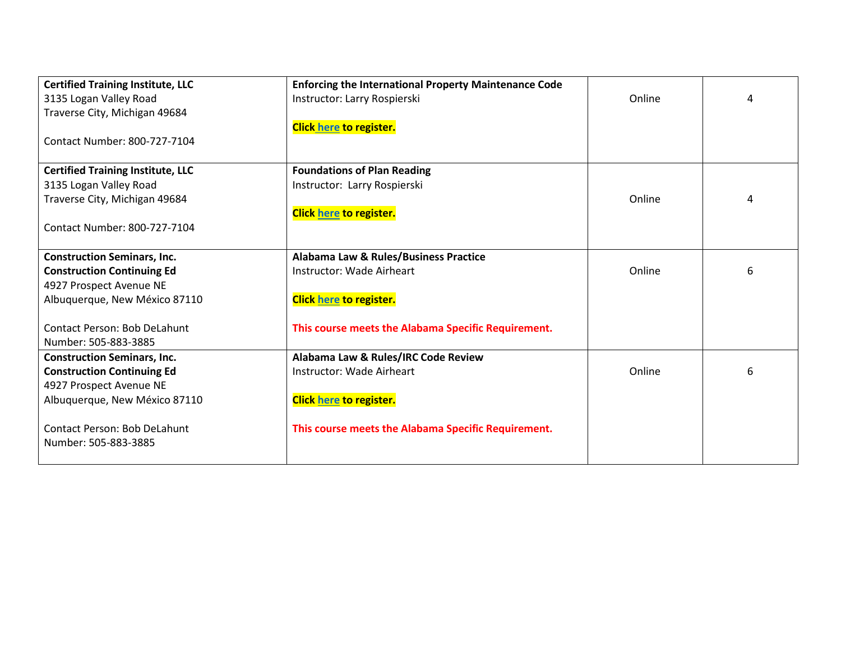| <b>Certified Training Institute, LLC</b> | <b>Enforcing the International Property Maintenance Code</b> |        |   |
|------------------------------------------|--------------------------------------------------------------|--------|---|
| 3135 Logan Valley Road                   | Instructor: Larry Rospierski                                 | Online | 4 |
| Traverse City, Michigan 49684            |                                                              |        |   |
|                                          | <b>Click here to register.</b>                               |        |   |
| Contact Number: 800-727-7104             |                                                              |        |   |
|                                          |                                                              |        |   |
| <b>Certified Training Institute, LLC</b> | <b>Foundations of Plan Reading</b>                           |        |   |
| 3135 Logan Valley Road                   | Instructor: Larry Rospierski                                 |        |   |
| Traverse City, Michigan 49684            |                                                              | Online | 4 |
|                                          | <b>Click here to register.</b>                               |        |   |
| Contact Number: 800-727-7104             |                                                              |        |   |
|                                          |                                                              |        |   |
| <b>Construction Seminars, Inc.</b>       | Alabama Law & Rules/Business Practice                        |        |   |
| <b>Construction Continuing Ed</b>        | Instructor: Wade Airheart                                    | Online | 6 |
| 4927 Prospect Avenue NE                  |                                                              |        |   |
| Albuquerque, New México 87110            | <b>Click here to register.</b>                               |        |   |
|                                          |                                                              |        |   |
| <b>Contact Person: Bob DeLahunt</b>      | This course meets the Alabama Specific Requirement.          |        |   |
| Number: 505-883-3885                     |                                                              |        |   |
| <b>Construction Seminars, Inc.</b>       | Alabama Law & Rules/IRC Code Review                          |        |   |
| <b>Construction Continuing Ed</b>        | Instructor: Wade Airheart                                    | Online | 6 |
| 4927 Prospect Avenue NE                  |                                                              |        |   |
| Albuquerque, New México 87110            | <b>Click here to register.</b>                               |        |   |
|                                          |                                                              |        |   |
| <b>Contact Person: Bob DeLahunt</b>      | This course meets the Alabama Specific Requirement.          |        |   |
| Number: 505-883-3885                     |                                                              |        |   |
|                                          |                                                              |        |   |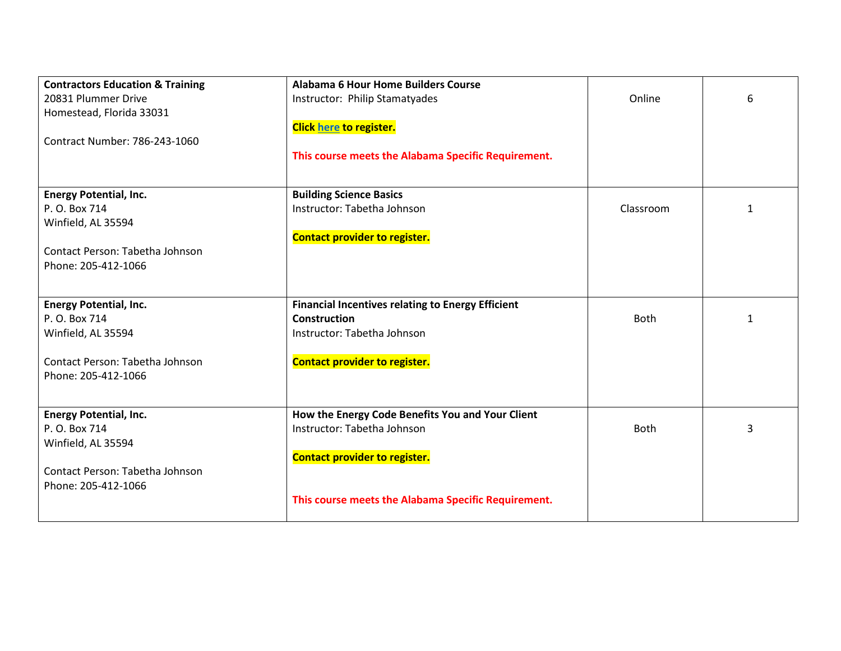| <b>Contractors Education &amp; Training</b> | <b>Alabama 6 Hour Home Builders Course</b>               |             |   |
|---------------------------------------------|----------------------------------------------------------|-------------|---|
| 20831 Plummer Drive                         | Instructor: Philip Stamatyades                           | Online      | 6 |
| Homestead, Florida 33031                    |                                                          |             |   |
|                                             | <b>Click here to register.</b>                           |             |   |
| Contract Number: 786-243-1060               |                                                          |             |   |
|                                             | This course meets the Alabama Specific Requirement.      |             |   |
|                                             |                                                          |             |   |
| <b>Energy Potential, Inc.</b>               | <b>Building Science Basics</b>                           |             |   |
| P. O. Box 714                               | Instructor: Tabetha Johnson                              | Classroom   | 1 |
| Winfield, AL 35594                          |                                                          |             |   |
|                                             | <b>Contact provider to register.</b>                     |             |   |
| Contact Person: Tabetha Johnson             |                                                          |             |   |
| Phone: 205-412-1066                         |                                                          |             |   |
|                                             |                                                          |             |   |
|                                             |                                                          |             |   |
| <b>Energy Potential, Inc.</b>               | <b>Financial Incentives relating to Energy Efficient</b> |             |   |
| P. O. Box 714                               | <b>Construction</b>                                      | <b>Both</b> | 1 |
| Winfield, AL 35594                          | Instructor: Tabetha Johnson                              |             |   |
|                                             |                                                          |             |   |
| Contact Person: Tabetha Johnson             | <b>Contact provider to register.</b>                     |             |   |
| Phone: 205-412-1066                         |                                                          |             |   |
|                                             |                                                          |             |   |
| <b>Energy Potential, Inc.</b>               | How the Energy Code Benefits You and Your Client         |             |   |
| P. O. Box 714                               | Instructor: Tabetha Johnson                              | <b>Both</b> | 3 |
| Winfield, AL 35594                          |                                                          |             |   |
|                                             | <b>Contact provider to register.</b>                     |             |   |
| Contact Person: Tabetha Johnson             |                                                          |             |   |
| Phone: 205-412-1066                         |                                                          |             |   |
|                                             | This course meets the Alabama Specific Requirement.      |             |   |
|                                             |                                                          |             |   |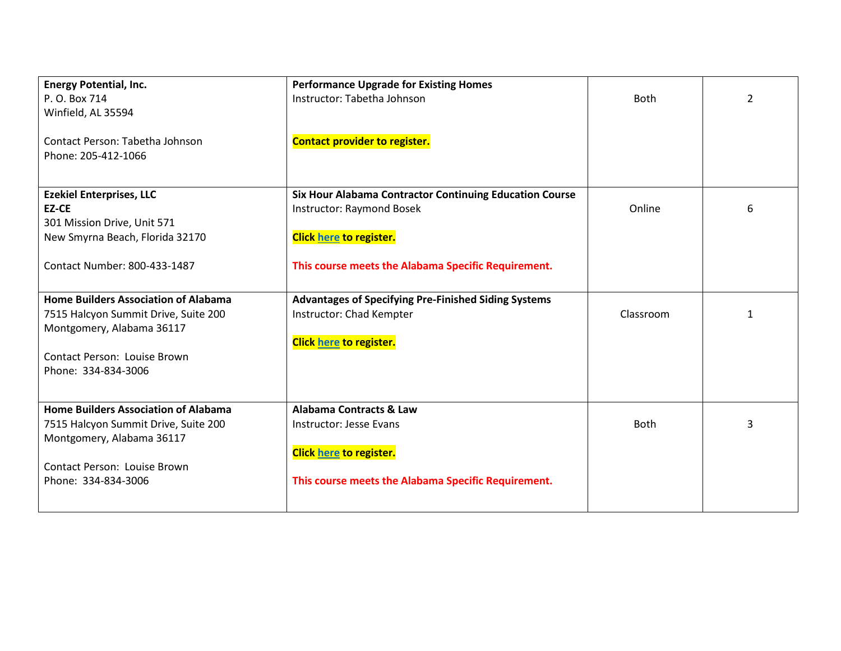| <b>Energy Potential, Inc.</b>               | <b>Performance Upgrade for Existing Homes</b>                  |             |                |
|---------------------------------------------|----------------------------------------------------------------|-------------|----------------|
| P. O. Box 714                               | Instructor: Tabetha Johnson                                    | <b>Both</b> | $\overline{2}$ |
| Winfield, AL 35594                          |                                                                |             |                |
|                                             |                                                                |             |                |
| Contact Person: Tabetha Johnson             | <b>Contact provider to register.</b>                           |             |                |
| Phone: 205-412-1066                         |                                                                |             |                |
|                                             |                                                                |             |                |
|                                             |                                                                |             |                |
| <b>Ezekiel Enterprises, LLC</b>             | <b>Six Hour Alabama Contractor Continuing Education Course</b> |             |                |
| EZ-CE                                       | <b>Instructor: Raymond Bosek</b>                               | Online      | 6              |
| 301 Mission Drive, Unit 571                 |                                                                |             |                |
| New Smyrna Beach, Florida 32170             | <b>Click here to register.</b>                                 |             |                |
|                                             |                                                                |             |                |
| Contact Number: 800-433-1487                | This course meets the Alabama Specific Requirement.            |             |                |
|                                             |                                                                |             |                |
| <b>Home Builders Association of Alabama</b> | <b>Advantages of Specifying Pre-Finished Siding Systems</b>    |             |                |
| 7515 Halcyon Summit Drive, Suite 200        | Instructor: Chad Kempter                                       | Classroom   | 1              |
| Montgomery, Alabama 36117                   |                                                                |             |                |
|                                             | <b>Click here to register.</b>                                 |             |                |
| <b>Contact Person: Louise Brown</b>         |                                                                |             |                |
| Phone: 334-834-3006                         |                                                                |             |                |
|                                             |                                                                |             |                |
| <b>Home Builders Association of Alabama</b> | <b>Alabama Contracts &amp; Law</b>                             |             |                |
|                                             |                                                                | <b>Both</b> | 3              |
| 7515 Halcyon Summit Drive, Suite 200        | Instructor: Jesse Evans                                        |             |                |
| Montgomery, Alabama 36117                   |                                                                |             |                |
|                                             | <b>Click here to register.</b>                                 |             |                |
| <b>Contact Person: Louise Brown</b>         |                                                                |             |                |
| Phone: 334-834-3006                         | This course meets the Alabama Specific Requirement.            |             |                |
|                                             |                                                                |             |                |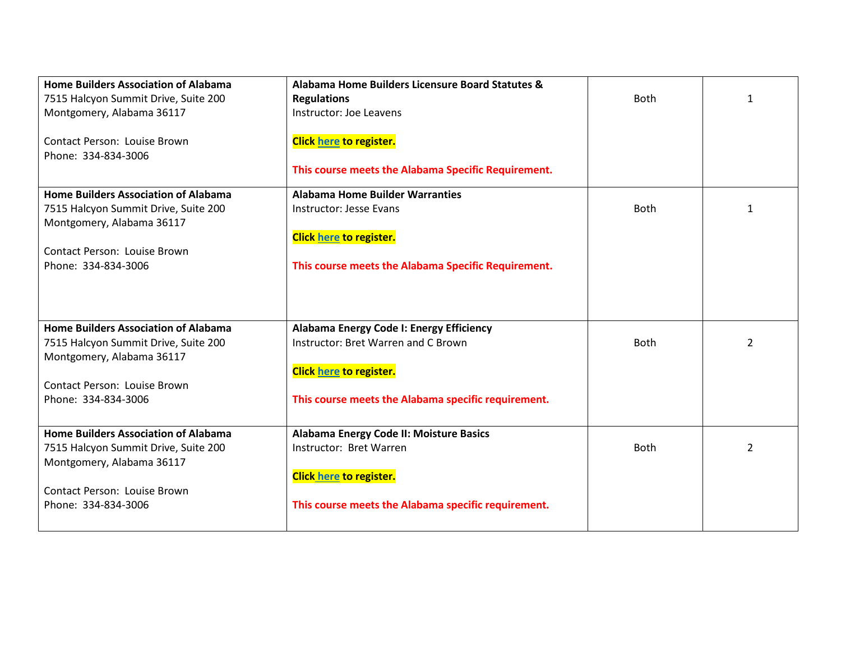| <b>Home Builders Association of Alabama</b><br>7515 Halcyon Summit Drive, Suite 200<br>Montgomery, Alabama 36117 | Alabama Home Builders Licensure Board Statutes &<br><b>Regulations</b><br>Instructor: Joe Leavens | <b>Both</b> | $\mathbf{1}$ |
|------------------------------------------------------------------------------------------------------------------|---------------------------------------------------------------------------------------------------|-------------|--------------|
| <b>Contact Person: Louise Brown</b><br>Phone: 334-834-3006                                                       | <b>Click here to register.</b>                                                                    |             |              |
|                                                                                                                  | This course meets the Alabama Specific Requirement.                                               |             |              |
| <b>Home Builders Association of Alabama</b>                                                                      | <b>Alabama Home Builder Warranties</b>                                                            |             |              |
| 7515 Halcyon Summit Drive, Suite 200                                                                             | Instructor: Jesse Evans                                                                           | <b>Both</b> | 1            |
| Montgomery, Alabama 36117                                                                                        | <b>Click here to register.</b>                                                                    |             |              |
| <b>Contact Person: Louise Brown</b>                                                                              |                                                                                                   |             |              |
| Phone: 334-834-3006                                                                                              | This course meets the Alabama Specific Requirement.                                               |             |              |
|                                                                                                                  |                                                                                                   |             |              |
|                                                                                                                  |                                                                                                   |             |              |
| <b>Home Builders Association of Alabama</b>                                                                      | Alabama Energy Code I: Energy Efficiency                                                          |             |              |
| 7515 Halcyon Summit Drive, Suite 200<br>Montgomery, Alabama 36117                                                | Instructor: Bret Warren and C Brown                                                               | <b>Both</b> | 2            |
|                                                                                                                  | <b>Click here to register.</b>                                                                    |             |              |
| <b>Contact Person: Louise Brown</b>                                                                              |                                                                                                   |             |              |
| Phone: 334-834-3006                                                                                              | This course meets the Alabama specific requirement.                                               |             |              |
| <b>Home Builders Association of Alabama</b>                                                                      | Alabama Energy Code II: Moisture Basics                                                           |             |              |
| 7515 Halcyon Summit Drive, Suite 200                                                                             | Instructor: Bret Warren                                                                           | <b>Both</b> | 2            |
| Montgomery, Alabama 36117                                                                                        |                                                                                                   |             |              |
| <b>Contact Person: Louise Brown</b>                                                                              | <b>Click here to register.</b>                                                                    |             |              |
| Phone: 334-834-3006                                                                                              | This course meets the Alabama specific requirement.                                               |             |              |
|                                                                                                                  |                                                                                                   |             |              |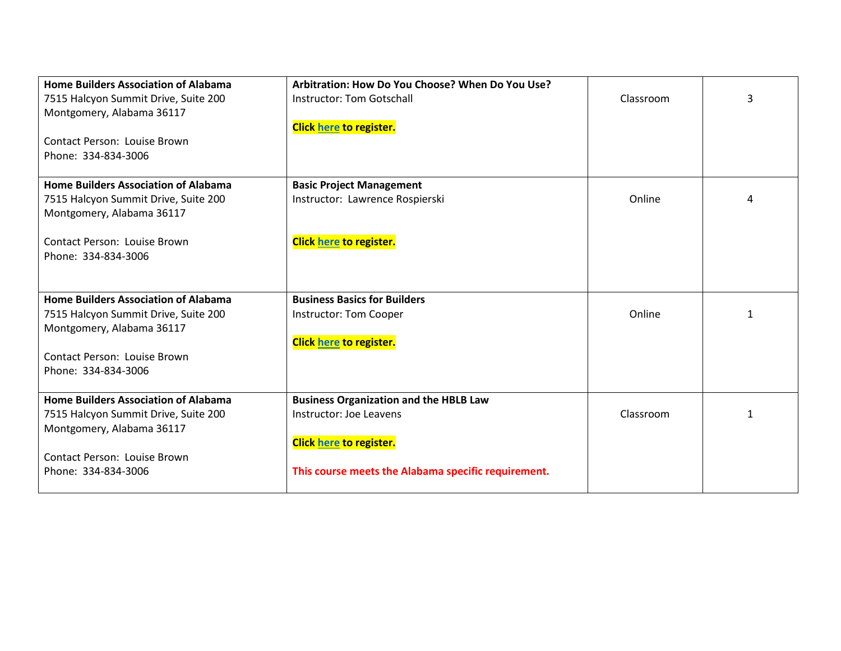| <b>Home Builders Association of Alabama</b> | Arbitration: How Do You Choose? When Do You Use?    |           |   |
|---------------------------------------------|-----------------------------------------------------|-----------|---|
| 7515 Halcyon Summit Drive, Suite 200        | Instructor: Tom Gotschall                           | Classroom | 3 |
| Montgomery, Alabama 36117                   |                                                     |           |   |
|                                             | <b>Click here to register.</b>                      |           |   |
| Contact Person: Louise Brown                |                                                     |           |   |
| Phone: 334-834-3006                         |                                                     |           |   |
|                                             |                                                     |           |   |
| <b>Home Builders Association of Alabama</b> | <b>Basic Project Management</b>                     |           |   |
| 7515 Halcyon Summit Drive, Suite 200        | Instructor: Lawrence Rospierski                     | Online    | 4 |
| Montgomery, Alabama 36117                   |                                                     |           |   |
|                                             |                                                     |           |   |
| <b>Contact Person: Louise Brown</b>         | <b>Click here to register.</b>                      |           |   |
| Phone: 334-834-3006                         |                                                     |           |   |
|                                             |                                                     |           |   |
| <b>Home Builders Association of Alabama</b> | <b>Business Basics for Builders</b>                 |           |   |
| 7515 Halcyon Summit Drive, Suite 200        | Instructor: Tom Cooper                              | Online    | 1 |
| Montgomery, Alabama 36117                   |                                                     |           |   |
|                                             | <b>Click here to register.</b>                      |           |   |
| <b>Contact Person: Louise Brown</b>         |                                                     |           |   |
| Phone: 334-834-3006                         |                                                     |           |   |
|                                             |                                                     |           |   |
| <b>Home Builders Association of Alabama</b> | <b>Business Organization and the HBLB Law</b>       |           |   |
| 7515 Halcyon Summit Drive, Suite 200        | Instructor: Joe Leavens                             | Classroom | 1 |
| Montgomery, Alabama 36117                   |                                                     |           |   |
|                                             | <b>Click here to register.</b>                      |           |   |
| <b>Contact Person: Louise Brown</b>         |                                                     |           |   |
| Phone: 334-834-3006                         | This course meets the Alabama specific requirement. |           |   |
|                                             |                                                     |           |   |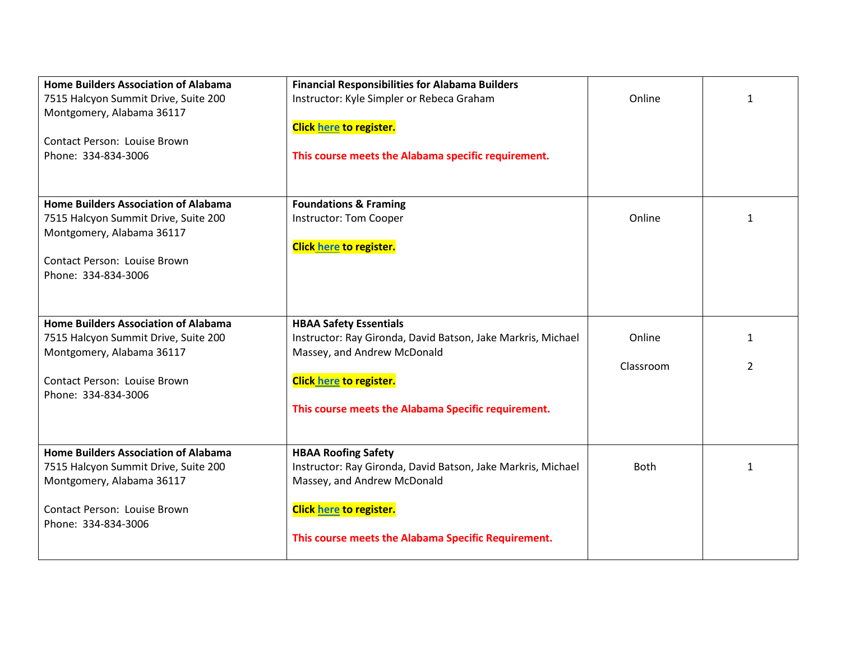| <b>Home Builders Association of Alabama</b><br>7515 Halcyon Summit Drive, Suite 200 | <b>Financial Responsibilities for Alabama Builders</b><br>Instructor: Kyle Simpler or Rebeca Graham | Online      | 1            |
|-------------------------------------------------------------------------------------|-----------------------------------------------------------------------------------------------------|-------------|--------------|
| Montgomery, Alabama 36117                                                           |                                                                                                     |             |              |
|                                                                                     | <b>Click here to register.</b>                                                                      |             |              |
| Contact Person: Louise Brown<br>Phone: 334-834-3006                                 | This course meets the Alabama specific requirement.                                                 |             |              |
|                                                                                     |                                                                                                     |             |              |
|                                                                                     |                                                                                                     |             |              |
| <b>Home Builders Association of Alabama</b>                                         | <b>Foundations &amp; Framing</b>                                                                    |             |              |
| 7515 Halcyon Summit Drive, Suite 200                                                | Instructor: Tom Cooper                                                                              | Online      | 1            |
| Montgomery, Alabama 36117                                                           | <b>Click here to register.</b>                                                                      |             |              |
| <b>Contact Person: Louise Brown</b>                                                 |                                                                                                     |             |              |
| Phone: 334-834-3006                                                                 |                                                                                                     |             |              |
|                                                                                     |                                                                                                     |             |              |
| <b>Home Builders Association of Alabama</b>                                         | <b>HBAA Safety Essentials</b>                                                                       |             |              |
| 7515 Halcyon Summit Drive, Suite 200                                                | Instructor: Ray Gironda, David Batson, Jake Markris, Michael                                        | Online      | 1            |
| Montgomery, Alabama 36117                                                           | Massey, and Andrew McDonald                                                                         | Classroom   | 2            |
| <b>Contact Person: Louise Brown</b>                                                 | <b>Click here to register.</b>                                                                      |             |              |
| Phone: 334-834-3006                                                                 |                                                                                                     |             |              |
|                                                                                     | This course meets the Alabama Specific requirement.                                                 |             |              |
|                                                                                     |                                                                                                     |             |              |
| <b>Home Builders Association of Alabama</b>                                         | <b>HBAA Roofing Safety</b>                                                                          |             |              |
| 7515 Halcyon Summit Drive, Suite 200                                                | Instructor: Ray Gironda, David Batson, Jake Markris, Michael                                        | <b>Both</b> | $\mathbf{1}$ |
| Montgomery, Alabama 36117                                                           | Massey, and Andrew McDonald                                                                         |             |              |
| <b>Contact Person: Louise Brown</b>                                                 | <b>Click here to register.</b>                                                                      |             |              |
| Phone: 334-834-3006                                                                 |                                                                                                     |             |              |
|                                                                                     | This course meets the Alabama Specific Requirement.                                                 |             |              |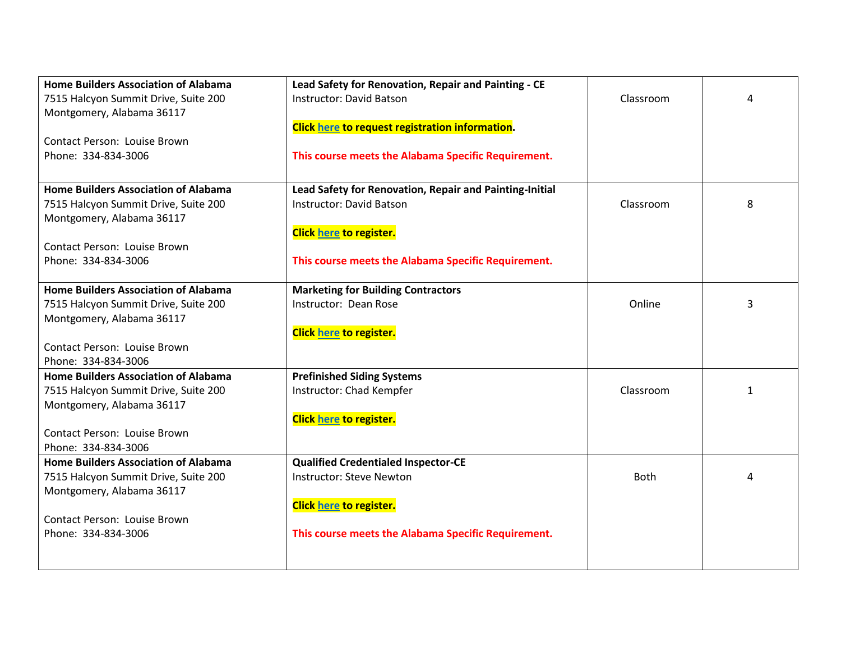| <b>Home Builders Association of Alabama</b> | Lead Safety for Renovation, Repair and Painting - CE    |           |   |
|---------------------------------------------|---------------------------------------------------------|-----------|---|
| 7515 Halcyon Summit Drive, Suite 200        | <b>Instructor: David Batson</b>                         | Classroom | 4 |
| Montgomery, Alabama 36117                   |                                                         |           |   |
|                                             | Click here to request registration information.         |           |   |
| <b>Contact Person: Louise Brown</b>         |                                                         |           |   |
| Phone: 334-834-3006                         | This course meets the Alabama Specific Requirement.     |           |   |
|                                             |                                                         |           |   |
| <b>Home Builders Association of Alabama</b> | Lead Safety for Renovation, Repair and Painting-Initial |           |   |
| 7515 Halcyon Summit Drive, Suite 200        | <b>Instructor: David Batson</b>                         | Classroom | 8 |
| Montgomery, Alabama 36117                   |                                                         |           |   |
|                                             | <b>Click here to register.</b>                          |           |   |
| Contact Person: Louise Brown                |                                                         |           |   |
| Phone: 334-834-3006                         | This course meets the Alabama Specific Requirement.     |           |   |
|                                             |                                                         |           |   |
| <b>Home Builders Association of Alabama</b> | <b>Marketing for Building Contractors</b>               |           |   |
| 7515 Halcyon Summit Drive, Suite 200        | Instructor: Dean Rose                                   | Online    | 3 |
| Montgomery, Alabama 36117                   |                                                         |           |   |
|                                             | <b>Click here to register.</b>                          |           |   |
| <b>Contact Person: Louise Brown</b>         |                                                         |           |   |
| Phone: 334-834-3006                         |                                                         |           |   |
| <b>Home Builders Association of Alabama</b> | <b>Prefinished Siding Systems</b>                       |           |   |
| 7515 Halcyon Summit Drive, Suite 200        | Instructor: Chad Kempfer                                | Classroom | 1 |
| Montgomery, Alabama 36117                   |                                                         |           |   |
|                                             | <b>Click here to register.</b>                          |           |   |
| Contact Person: Louise Brown                |                                                         |           |   |
| Phone: 334-834-3006                         |                                                         |           |   |
| <b>Home Builders Association of Alabama</b> | <b>Qualified Credentialed Inspector-CE</b>              |           |   |
| 7515 Halcyon Summit Drive, Suite 200        | Instructor: Steve Newton                                | Both      | 4 |
| Montgomery, Alabama 36117                   |                                                         |           |   |
|                                             | <b>Click here to register.</b>                          |           |   |
| <b>Contact Person: Louise Brown</b>         |                                                         |           |   |
| Phone: 334-834-3006                         | This course meets the Alabama Specific Requirement.     |           |   |
|                                             |                                                         |           |   |
|                                             |                                                         |           |   |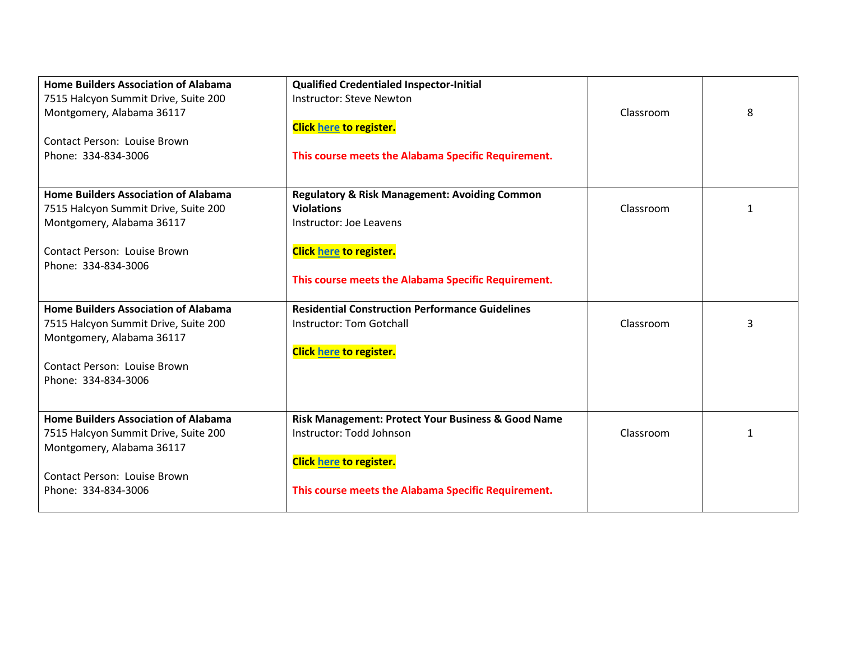| <b>Home Builders Association of Alabama</b>                       | <b>Qualified Credentialed Inspector-Initial</b>          |           |   |
|-------------------------------------------------------------------|----------------------------------------------------------|-----------|---|
| 7515 Halcyon Summit Drive, Suite 200<br>Montgomery, Alabama 36117 | <b>Instructor: Steve Newton</b>                          | Classroom | 8 |
|                                                                   | <b>Click here to register.</b>                           |           |   |
| <b>Contact Person: Louise Brown</b>                               |                                                          |           |   |
| Phone: 334-834-3006                                               | This course meets the Alabama Specific Requirement.      |           |   |
|                                                                   |                                                          |           |   |
| <b>Home Builders Association of Alabama</b>                       | <b>Regulatory &amp; Risk Management: Avoiding Common</b> |           |   |
| 7515 Halcyon Summit Drive, Suite 200                              | <b>Violations</b>                                        | Classroom | 1 |
| Montgomery, Alabama 36117                                         | Instructor: Joe Leavens                                  |           |   |
|                                                                   |                                                          |           |   |
| Contact Person: Louise Brown                                      | <b>Click here to register.</b>                           |           |   |
| Phone: 334-834-3006                                               |                                                          |           |   |
|                                                                   | This course meets the Alabama Specific Requirement.      |           |   |
| <b>Home Builders Association of Alabama</b>                       | <b>Residential Construction Performance Guidelines</b>   |           |   |
| 7515 Halcyon Summit Drive, Suite 200                              | <b>Instructor: Tom Gotchall</b>                          | Classroom | 3 |
| Montgomery, Alabama 36117                                         |                                                          |           |   |
|                                                                   | <b>Click here to register.</b>                           |           |   |
| <b>Contact Person: Louise Brown</b>                               |                                                          |           |   |
| Phone: 334-834-3006                                               |                                                          |           |   |
|                                                                   |                                                          |           |   |
| <b>Home Builders Association of Alabama</b>                       | Risk Management: Protect Your Business & Good Name       |           |   |
| 7515 Halcyon Summit Drive, Suite 200                              | Instructor: Todd Johnson                                 | Classroom |   |
| Montgomery, Alabama 36117                                         |                                                          |           |   |
|                                                                   | <b>Click here to register.</b>                           |           |   |
| Contact Person: Louise Brown                                      |                                                          |           |   |
| Phone: 334-834-3006                                               | This course meets the Alabama Specific Requirement.      |           |   |
|                                                                   |                                                          |           |   |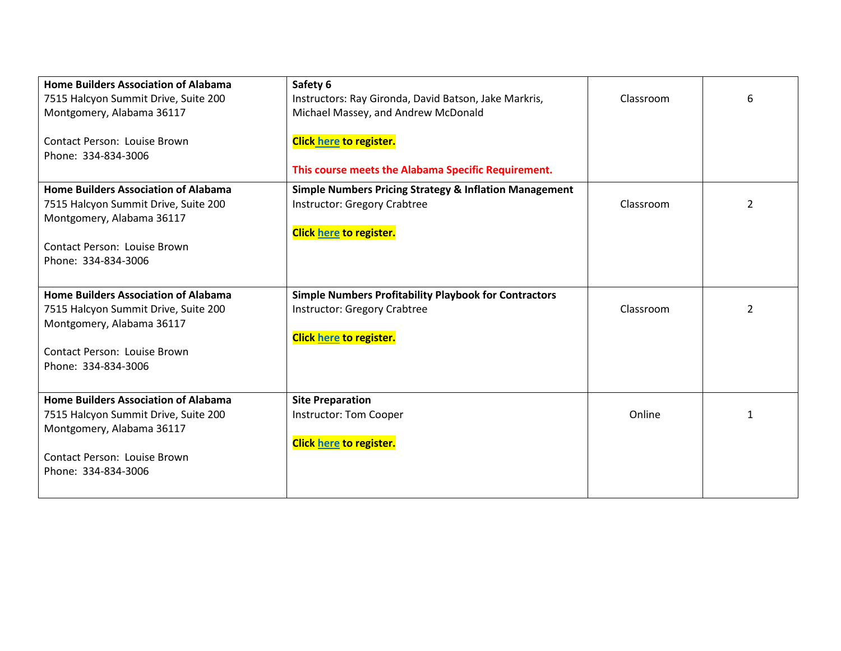| <b>Home Builders Association of Alabama</b> |                                                                   |           |   |
|---------------------------------------------|-------------------------------------------------------------------|-----------|---|
|                                             | Safety 6                                                          |           |   |
| 7515 Halcyon Summit Drive, Suite 200        | Instructors: Ray Gironda, David Batson, Jake Markris,             | Classroom | 6 |
| Montgomery, Alabama 36117                   | Michael Massey, and Andrew McDonald                               |           |   |
|                                             |                                                                   |           |   |
| <b>Contact Person: Louise Brown</b>         | <b>Click here to register.</b>                                    |           |   |
| Phone: 334-834-3006                         |                                                                   |           |   |
|                                             |                                                                   |           |   |
|                                             | This course meets the Alabama Specific Requirement.               |           |   |
| <b>Home Builders Association of Alabama</b> | <b>Simple Numbers Pricing Strategy &amp; Inflation Management</b> |           |   |
| 7515 Halcyon Summit Drive, Suite 200        | <b>Instructor: Gregory Crabtree</b>                               | Classroom | 2 |
| Montgomery, Alabama 36117                   |                                                                   |           |   |
|                                             | Click here to register.                                           |           |   |
|                                             |                                                                   |           |   |
| <b>Contact Person: Louise Brown</b>         |                                                                   |           |   |
| Phone: 334-834-3006                         |                                                                   |           |   |
|                                             |                                                                   |           |   |
| <b>Home Builders Association of Alabama</b> | <b>Simple Numbers Profitability Playbook for Contractors</b>      |           |   |
| 7515 Halcyon Summit Drive, Suite 200        | Instructor: Gregory Crabtree                                      | Classroom | 2 |
|                                             |                                                                   |           |   |
| Montgomery, Alabama 36117                   |                                                                   |           |   |
|                                             | <b>Click here to register.</b>                                    |           |   |
| Contact Person: Louise Brown                |                                                                   |           |   |
| Phone: 334-834-3006                         |                                                                   |           |   |
|                                             |                                                                   |           |   |
| <b>Home Builders Association of Alabama</b> | <b>Site Preparation</b>                                           |           |   |
| 7515 Halcyon Summit Drive, Suite 200        | Instructor: Tom Cooper                                            | Online    |   |
|                                             |                                                                   |           |   |
| Montgomery, Alabama 36117                   |                                                                   |           |   |
|                                             | <b>Click here to register.</b>                                    |           |   |
| <b>Contact Person: Louise Brown</b>         |                                                                   |           |   |
| Phone: 334-834-3006                         |                                                                   |           |   |
|                                             |                                                                   |           |   |
|                                             |                                                                   |           |   |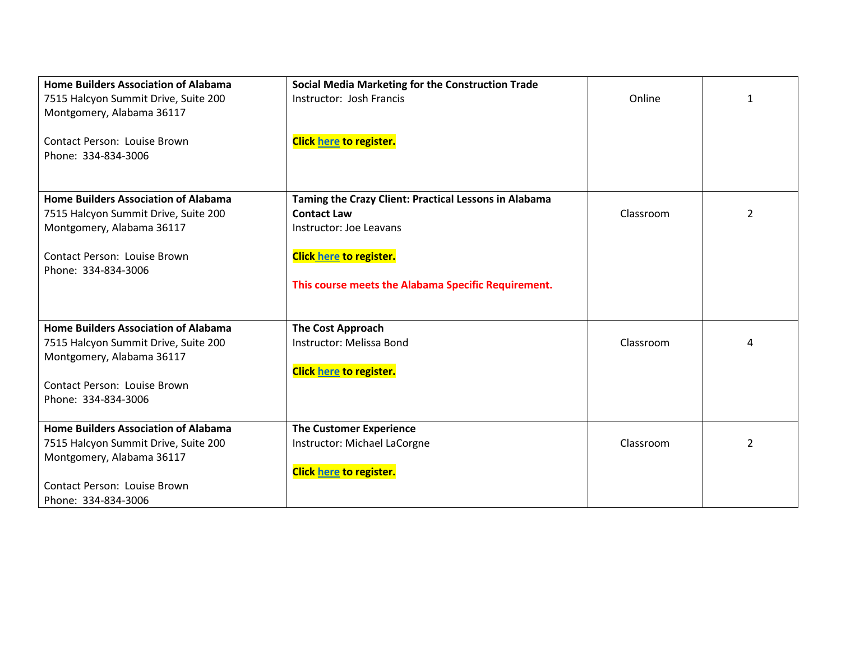| <b>Home Builders Association of Alabama</b> | <b>Social Media Marketing for the Construction Trade</b> |           |   |
|---------------------------------------------|----------------------------------------------------------|-----------|---|
| 7515 Halcyon Summit Drive, Suite 200        | Instructor: Josh Francis                                 | Online    | 1 |
| Montgomery, Alabama 36117                   |                                                          |           |   |
|                                             |                                                          |           |   |
| Contact Person: Louise Brown                | <b>Click here to register.</b>                           |           |   |
| Phone: 334-834-3006                         |                                                          |           |   |
|                                             |                                                          |           |   |
|                                             |                                                          |           |   |
| <b>Home Builders Association of Alabama</b> | Taming the Crazy Client: Practical Lessons in Alabama    |           |   |
| 7515 Halcyon Summit Drive, Suite 200        | <b>Contact Law</b>                                       | Classroom | 2 |
| Montgomery, Alabama 36117                   | Instructor: Joe Leavans                                  |           |   |
|                                             |                                                          |           |   |
| <b>Contact Person: Louise Brown</b>         | <b>Click here to register.</b>                           |           |   |
| Phone: 334-834-3006                         |                                                          |           |   |
|                                             | This course meets the Alabama Specific Requirement.      |           |   |
|                                             |                                                          |           |   |
|                                             |                                                          |           |   |
| <b>Home Builders Association of Alabama</b> | <b>The Cost Approach</b>                                 |           |   |
| 7515 Halcyon Summit Drive, Suite 200        | Instructor: Melissa Bond                                 | Classroom | 4 |
| Montgomery, Alabama 36117                   |                                                          |           |   |
|                                             | <b>Click here to register.</b>                           |           |   |
| <b>Contact Person: Louise Brown</b>         |                                                          |           |   |
| Phone: 334-834-3006                         |                                                          |           |   |
|                                             |                                                          |           |   |
| <b>Home Builders Association of Alabama</b> | <b>The Customer Experience</b>                           |           |   |
| 7515 Halcyon Summit Drive, Suite 200        | Instructor: Michael LaCorgne                             | Classroom | 2 |
| Montgomery, Alabama 36117                   |                                                          |           |   |
|                                             | <b>Click here to register.</b>                           |           |   |
| <b>Contact Person: Louise Brown</b>         |                                                          |           |   |
| Phone: 334-834-3006                         |                                                          |           |   |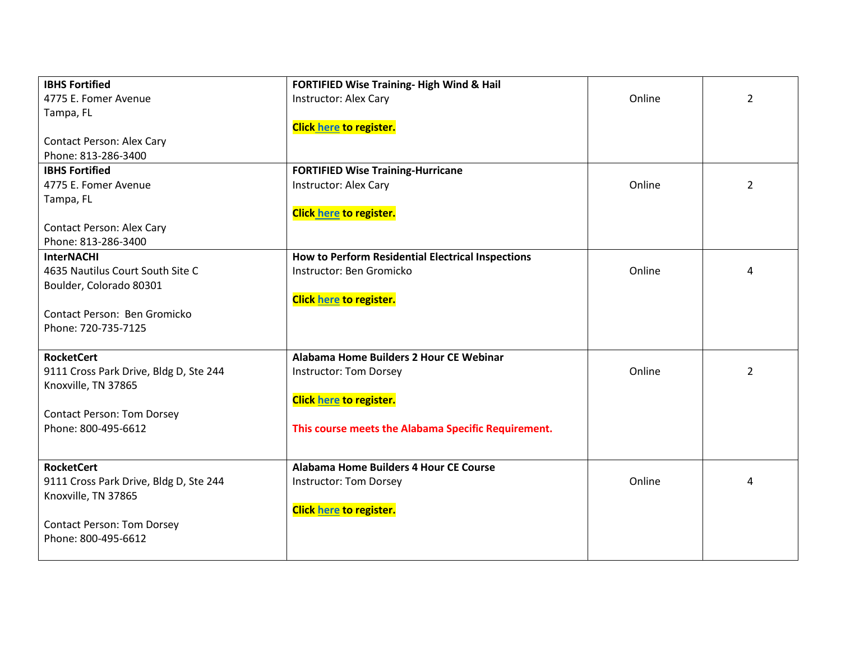| <b>IBHS Fortified</b>                  | FORTIFIED Wise Training-High Wind & Hail            |        |                |
|----------------------------------------|-----------------------------------------------------|--------|----------------|
| 4775 E. Fomer Avenue                   | <b>Instructor: Alex Cary</b>                        | Online | $\overline{2}$ |
| Tampa, FL                              |                                                     |        |                |
|                                        | Click here to register.                             |        |                |
| <b>Contact Person: Alex Cary</b>       |                                                     |        |                |
| Phone: 813-286-3400                    |                                                     |        |                |
| <b>IBHS Fortified</b>                  | <b>FORTIFIED Wise Training-Hurricane</b>            |        |                |
| 4775 E. Fomer Avenue                   | Instructor: Alex Cary                               | Online | $\overline{2}$ |
| Tampa, FL                              |                                                     |        |                |
|                                        | <b>Click here to register.</b>                      |        |                |
| Contact Person: Alex Cary              |                                                     |        |                |
| Phone: 813-286-3400                    |                                                     |        |                |
| <b>InterNACHI</b>                      | How to Perform Residential Electrical Inspections   |        |                |
| 4635 Nautilus Court South Site C       | Instructor: Ben Gromicko                            | Online | 4              |
| Boulder, Colorado 80301                |                                                     |        |                |
|                                        | <b>Click here to register.</b>                      |        |                |
| Contact Person: Ben Gromicko           |                                                     |        |                |
| Phone: 720-735-7125                    |                                                     |        |                |
|                                        |                                                     |        |                |
| <b>RocketCert</b>                      | Alabama Home Builders 2 Hour CE Webinar             |        |                |
| 9111 Cross Park Drive, Bldg D, Ste 244 | Instructor: Tom Dorsey                              | Online | $\overline{2}$ |
| Knoxville, TN 37865                    |                                                     |        |                |
|                                        | <b>Click here to register.</b>                      |        |                |
| <b>Contact Person: Tom Dorsey</b>      |                                                     |        |                |
| Phone: 800-495-6612                    | This course meets the Alabama Specific Requirement. |        |                |
|                                        |                                                     |        |                |
| <b>RocketCert</b>                      | Alabama Home Builders 4 Hour CE Course              |        |                |
| 9111 Cross Park Drive, Bldg D, Ste 244 | <b>Instructor: Tom Dorsey</b>                       | Online | Δ              |
| Knoxville, TN 37865                    |                                                     |        |                |
|                                        | <b>Click here to register.</b>                      |        |                |
| <b>Contact Person: Tom Dorsey</b>      |                                                     |        |                |
| Phone: 800-495-6612                    |                                                     |        |                |
|                                        |                                                     |        |                |
|                                        |                                                     |        |                |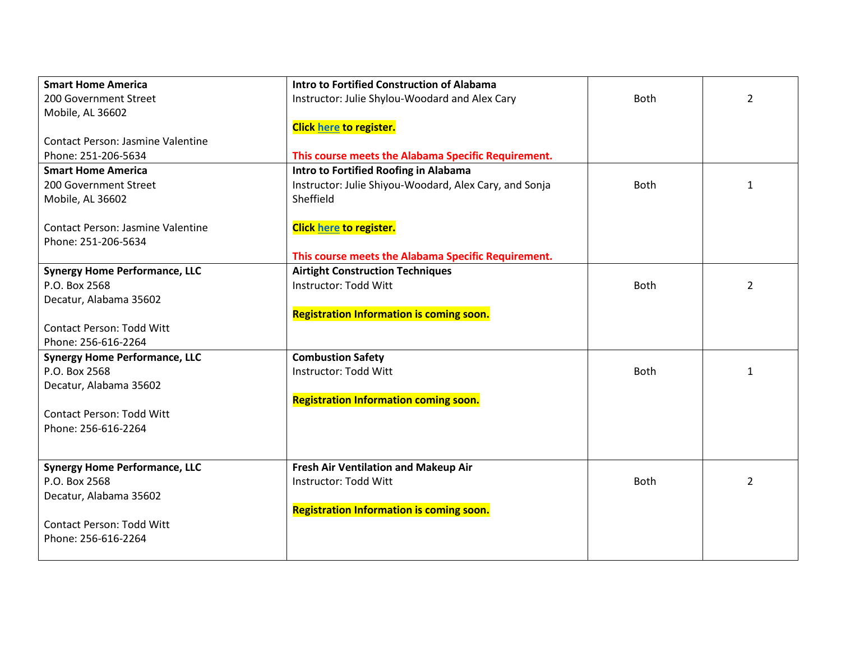| <b>Smart Home America</b>                | Intro to Fortified Construction of Alabama             |             |                |
|------------------------------------------|--------------------------------------------------------|-------------|----------------|
| 200 Government Street                    | Instructor: Julie Shylou-Woodard and Alex Cary         | Both        | $\overline{2}$ |
| Mobile, AL 36602                         |                                                        |             |                |
|                                          | Click here to register.                                |             |                |
| <b>Contact Person: Jasmine Valentine</b> |                                                        |             |                |
| Phone: 251-206-5634                      | This course meets the Alabama Specific Requirement.    |             |                |
| <b>Smart Home America</b>                | Intro to Fortified Roofing in Alabama                  |             |                |
| 200 Government Street                    | Instructor: Julie Shiyou-Woodard, Alex Cary, and Sonja | <b>Both</b> | 1              |
| Mobile, AL 36602                         | Sheffield                                              |             |                |
|                                          |                                                        |             |                |
| Contact Person: Jasmine Valentine        | <b>Click here to register.</b>                         |             |                |
| Phone: 251-206-5634                      |                                                        |             |                |
|                                          | This course meets the Alabama Specific Requirement.    |             |                |
| <b>Synergy Home Performance, LLC</b>     | <b>Airtight Construction Techniques</b>                |             |                |
| P.O. Box 2568                            | Instructor: Todd Witt                                  | <b>Both</b> | $\overline{2}$ |
| Decatur, Alabama 35602                   |                                                        |             |                |
|                                          | <b>Registration Information is coming soon.</b>        |             |                |
| <b>Contact Person: Todd Witt</b>         |                                                        |             |                |
| Phone: 256-616-2264                      |                                                        |             |                |
| <b>Synergy Home Performance, LLC</b>     | <b>Combustion Safety</b>                               |             |                |
| P.O. Box 2568                            | Instructor: Todd Witt                                  | <b>Both</b> | 1              |
| Decatur, Alabama 35602                   |                                                        |             |                |
|                                          | <b>Registration Information coming soon.</b>           |             |                |
| <b>Contact Person: Todd Witt</b>         |                                                        |             |                |
| Phone: 256-616-2264                      |                                                        |             |                |
|                                          |                                                        |             |                |
|                                          |                                                        |             |                |
| <b>Synergy Home Performance, LLC</b>     | Fresh Air Ventilation and Makeup Air                   |             |                |
| P.O. Box 2568                            | Instructor: Todd Witt                                  | <b>Both</b> | 2              |
| Decatur, Alabama 35602                   |                                                        |             |                |
|                                          | <b>Registration Information is coming soon.</b>        |             |                |
| <b>Contact Person: Todd Witt</b>         |                                                        |             |                |
| Phone: 256-616-2264                      |                                                        |             |                |
|                                          |                                                        |             |                |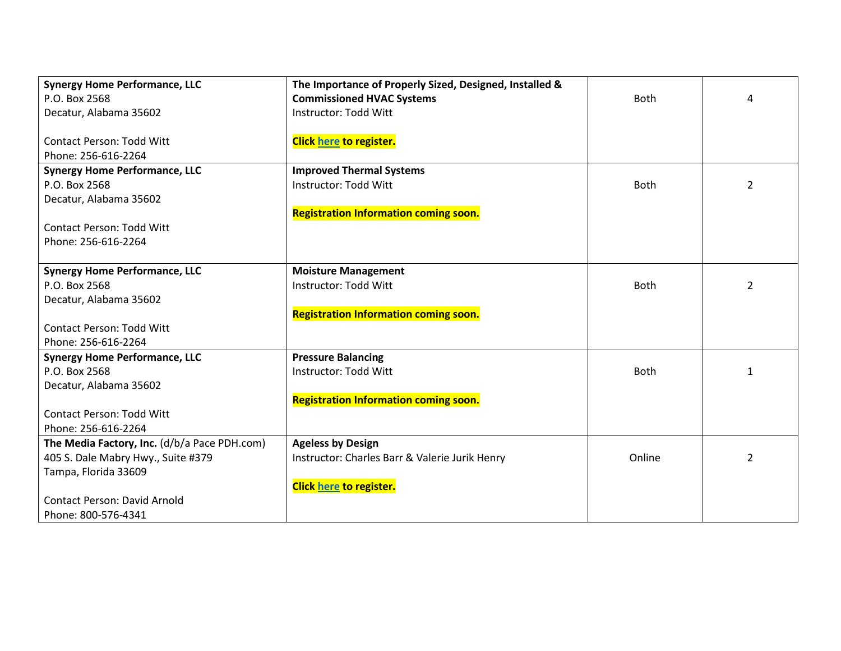| <b>Synergy Home Performance, LLC</b>         | The Importance of Properly Sized, Designed, Installed & |             |   |
|----------------------------------------------|---------------------------------------------------------|-------------|---|
| P.O. Box 2568                                | <b>Commissioned HVAC Systems</b>                        | Both        | 4 |
| Decatur, Alabama 35602                       | <b>Instructor: Todd Witt</b>                            |             |   |
|                                              |                                                         |             |   |
| <b>Contact Person: Todd Witt</b>             | <b>Click here to register.</b>                          |             |   |
| Phone: 256-616-2264                          |                                                         |             |   |
| <b>Synergy Home Performance, LLC</b>         | <b>Improved Thermal Systems</b>                         |             |   |
| P.O. Box 2568                                | Instructor: Todd Witt                                   | Both        | 2 |
| Decatur, Alabama 35602                       |                                                         |             |   |
|                                              | <b>Registration Information coming soon.</b>            |             |   |
| <b>Contact Person: Todd Witt</b>             |                                                         |             |   |
| Phone: 256-616-2264                          |                                                         |             |   |
|                                              |                                                         |             |   |
| <b>Synergy Home Performance, LLC</b>         | <b>Moisture Management</b>                              |             |   |
| P.O. Box 2568                                | <b>Instructor: Todd Witt</b>                            | <b>Both</b> | 2 |
| Decatur, Alabama 35602                       |                                                         |             |   |
|                                              | <b>Registration Information coming soon.</b>            |             |   |
| <b>Contact Person: Todd Witt</b>             |                                                         |             |   |
| Phone: 256-616-2264                          |                                                         |             |   |
| <b>Synergy Home Performance, LLC</b>         | <b>Pressure Balancing</b>                               |             |   |
| P.O. Box 2568                                | Instructor: Todd Witt                                   | <b>Both</b> | 1 |
| Decatur, Alabama 35602                       |                                                         |             |   |
|                                              | <b>Registration Information coming soon.</b>            |             |   |
| <b>Contact Person: Todd Witt</b>             |                                                         |             |   |
| Phone: 256-616-2264                          |                                                         |             |   |
| The Media Factory, Inc. (d/b/a Pace PDH.com) | <b>Ageless by Design</b>                                |             |   |
| 405 S. Dale Mabry Hwy., Suite #379           | Instructor: Charles Barr & Valerie Jurik Henry          | Online      | 2 |
| Tampa, Florida 33609                         |                                                         |             |   |
|                                              | <b>Click here to register.</b>                          |             |   |
| <b>Contact Person: David Arnold</b>          |                                                         |             |   |
| Phone: 800-576-4341                          |                                                         |             |   |